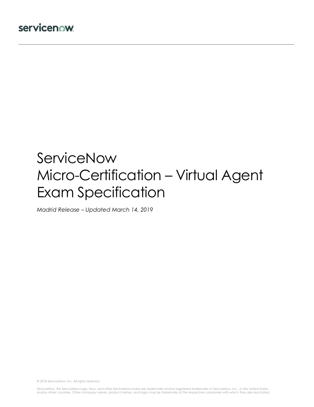# ServiceNow Micro-Certification – Virtual Agent Exam Specification

*Madrid Release* – *Updated March 14, 2019*

© 2018 ServiceNow, Inc. All rights reserved.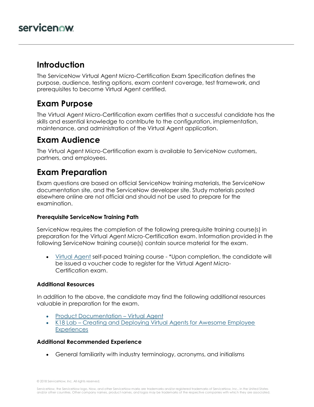#### **Introduction**

The ServiceNow Virtual Agent Micro-Certification Exam Specification defines the purpose, audience, testing options, exam content coverage, test framework, and prerequisites to become Virtual Agent certified.

## **Exam Purpose**

The Virtual Agent Micro-Certification exam certifies that a successful candidate has the skills and essential knowledge to contribute to the configuration, implementation, maintenance, and administration of the Virtual Agent application.

## **Exam Audience**

The Virtual Agent Micro-Certification exam is available to ServiceNow customers, partners, and employees.

#### **Exam Preparation**

Exam questions are based on official ServiceNow training materials, the ServiceNow documentation site, and the ServiceNow developer site. Study materials posted elsewhere online are not official and should not be used to prepare for the examination.

#### **Prerequisite ServiceNow Training Path**

ServiceNow requires the completion of the following prerequisite training course(s) in preparation for the Virtual Agent Micro-Certification exam. Information provided in the following ServiceNow training course(s) contain source material for the exam.

• [Virtual Agent](https://servicenow.sabacloud.com/Saba/Web_spf/NA1PRD0015/common/ledetail/cours000000000022006) self-paced training course - \*Upon completion, the candidate will be issued a voucher code to register for the Virtual Agent Micro-Certification exam.

#### **Additional Resources**

In addition to the above, the candidate may find the following additional resources valuable in preparation for the exam.

- [Product Documentation](https://docs.servicenow.com/bundle/london-servicenow-platform/page/administer/virtual-agent/concept/virtual-agent-overview.html)  Virtual Agent
- K18 Lab [Creating and Deploying Virtual Agents for Awesome Employee](https://developer.servicenow.com/app.do#!/knowledge/LAB1394)  **[Experiences](https://developer.servicenow.com/app.do#!/knowledge/LAB1394)**

#### **Additional Recommended Experience**

• General familiarity with industry terminology, acronyms, and initialisms

© 2018 ServiceNow, Inc. All rights reserved.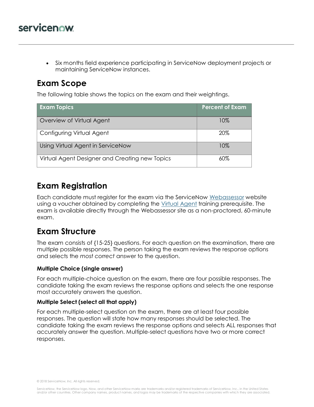# servicenow

• Six months field experience participating in ServiceNow deployment projects or maintaining ServiceNow instances.

#### **Exam Scope**

The following table shows the topics on the exam and their weightings.

| <b>Exam Topics</b>                             | <b>Percent of Exam</b> |
|------------------------------------------------|------------------------|
| Overview of Virtual Agent                      | $10\%$                 |
| Configuring Virtual Agent                      | 20%                    |
| Using Virtual Agent in ServiceNow              | 10%                    |
| Virtual Agent Designer and Creating new Topics | 60%                    |

#### **Exam Registration**

Each candidate must register for the exam via the ServiceNow [Webassessor](http://www.webassessor.com/servicenow) website using a voucher obtained by completing the [Virtual Agent](https://servicenow.sabacloud.com/Saba/Web_spf/NA1PRD0015/common/ledetail/cours000000000022006) training prerequisite. The exam is available directly through the Webassessor site as a non-proctored, 60-minute exam.

#### **Exam Structure**

The exam consists of {15-25} questions. For each question on the examination, there are multiple possible responses. The person taking the exam reviews the response options and selects the *most correct* answer to the question.

#### **Multiple Choice (single answer)**

For each multiple-choice question on the exam, there are four possible responses. The candidate taking the exam reviews the response options and selects the one response most accurately answers the question.

#### **Multiple Select (select all that apply)**

For each multiple-select question on the exam, there are at least four possible responses. The question will state how many responses should be selected. The candidate taking the exam reviews the response options and selects ALL responses that accurately answer the question. Multiple-select questions have two or more correct responses.

<sup>© 2018</sup> ServiceNow, Inc. All rights reserved.